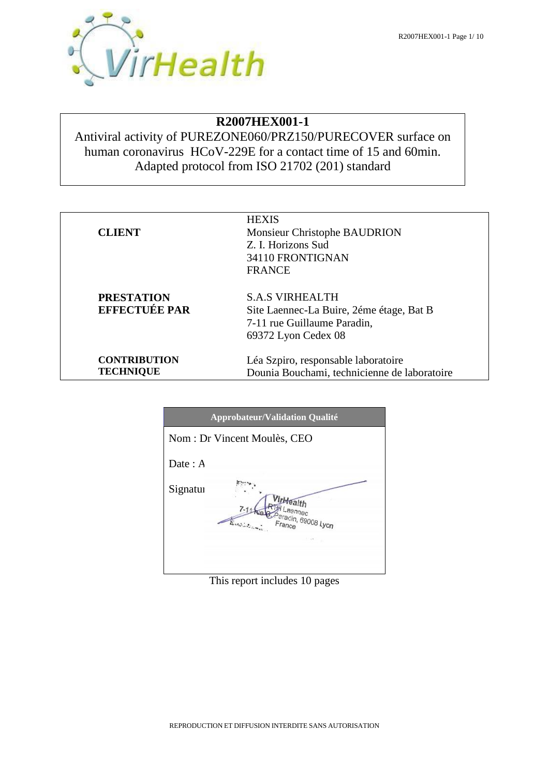### **R2007HEX001-1**

Antiviral activity of PUREZONE060/PRZ150/PURECOVER surface on human coronavirus HCoV-229E for a contact time of 15 and 60min. Adapted protocol from ISO 21702 (201) standard

|            | <b>Approbateur/Validation Qualité</b>                                      |
|------------|----------------------------------------------------------------------------|
|            | Nom : Dr Vincent Moulès, CEO                                               |
| Date : $A$ |                                                                            |
| Signatur   | <b>VirHealth</b><br>I Laennec<br>Deradin, 69008 Lyon<br>$F_{\text{Fance}}$ |
|            |                                                                            |

This report includes 10 pages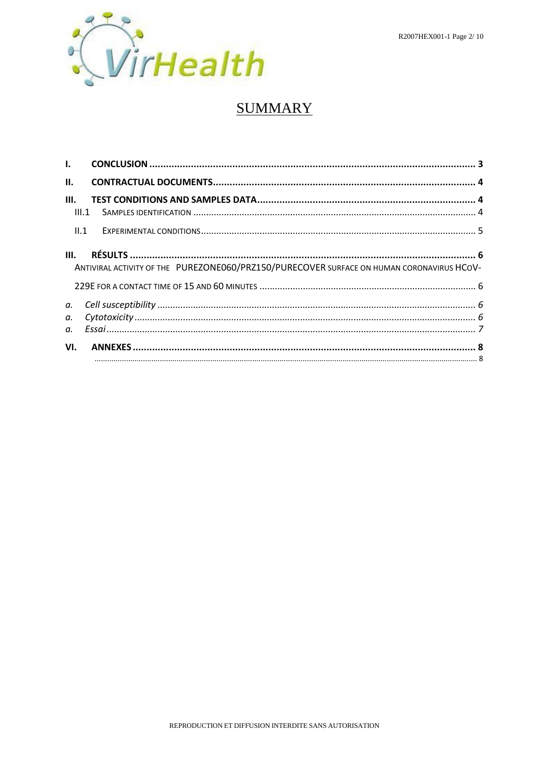

## **SUMMARY**

| $\mathbf{L}$ |                                                                                           |  |
|--------------|-------------------------------------------------------------------------------------------|--|
| II.          |                                                                                           |  |
| III.         | III.1                                                                                     |  |
|              | II.1                                                                                      |  |
| III.         | ANTIVIRAL ACTIVITY OF THE PUREZONE060/PRZ150/PURECOVER SURFACE ON HUMAN CORONAVIRUS HCOV- |  |
| а.           |                                                                                           |  |
| a.<br>α.     |                                                                                           |  |
| VI.          |                                                                                           |  |
|              |                                                                                           |  |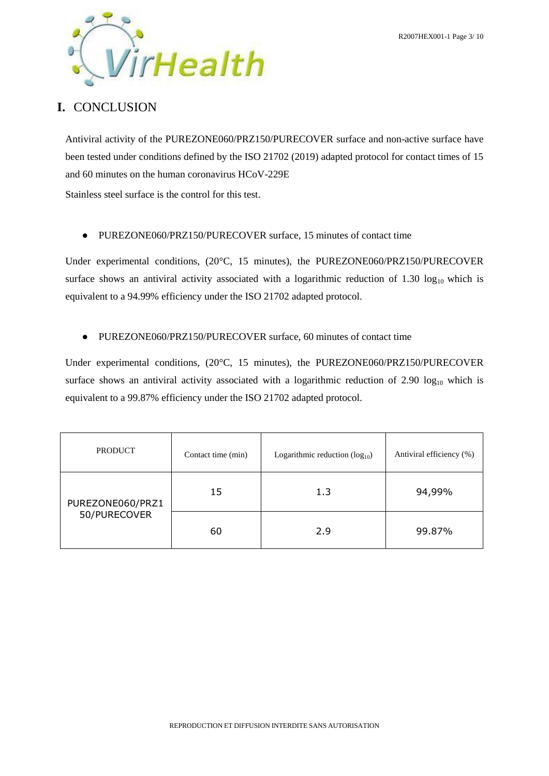

## <span id="page-2-0"></span>**I.** CONCLUSION

Antiviral activity of the PUREZONE060/PRZ150/PURECOVER surface and non-active surface have been tested under conditions defined by the ISO 21702 (2019) adapted protocol for contact times of 15 and 60 minutes on the human coronavirus HCoV-229E

Stainless steel surface is the control for this test.

● PUREZONE060/PRZ150/PURECOVER surface, 15 minutes of contact time

Under experimental conditions, (20°C, 15 minutes), the PUREZONE060/PRZ150/PURECOVER surface shows an antiviral activity associated with a logarithmic reduction of  $1.30 \log_{10}$  which is equivalent to a 94.99% efficiency under the ISO 21702 adapted protocol.

● PUREZONE060/PRZ150/PURECOVER surface, 60 minutes of contact time

Under experimental conditions, (20°C, 15 minutes), the PUREZONE060/PRZ150/PURECOVER surface shows an antiviral activity associated with a logarithmic reduction of  $2.90 \log_{10}$  which is equivalent to a 99.87% efficiency under the ISO 21702 adapted protocol.

| <b>PRODUCT</b>                   | Contact time (min) | Logarithmic reduction $(\log_{10})$ | Antiviral efficiency (%) |  |  |
|----------------------------------|--------------------|-------------------------------------|--------------------------|--|--|
| PUREZONE060/PRZ1<br>50/PURECOVER | 15                 | 1.3                                 | 94,99%                   |  |  |
|                                  | 60                 | 2.9                                 | 99.87%                   |  |  |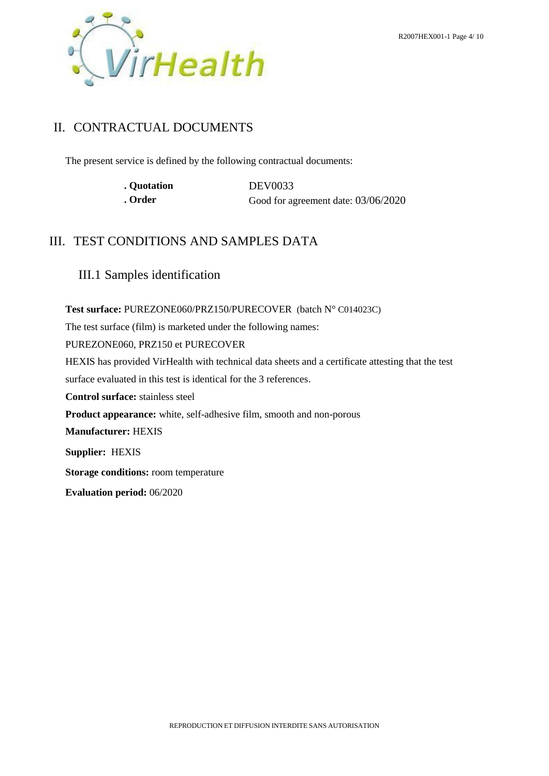

## <span id="page-3-0"></span>II. CONTRACTUAL DOCUMENTS

The present service is defined by the following contractual documents:

| . Quotation | DEV0033                             |
|-------------|-------------------------------------|
| . Order     | Good for agreement date: 03/06/2020 |

## <span id="page-3-1"></span>III. TEST CONDITIONS AND SAMPLES DATA

<span id="page-3-2"></span>III.1 Samples identification

**Test surface:** PUREZONE060/PRZ150/PURECOVER (batch N° C014023C)

The test surface (film) is marketed under the following names:

PUREZONE060, PRZ150 et PURECOVER

HEXIS has provided VirHealth with technical data sheets and a certificate attesting that the test

surface evaluated in this test is identical for the 3 references.

**Control surface:** stainless steel

**Product appearance:** white, self-adhesive film, smooth and non-porous

**Manufacturer:** HEXIS

**Supplier:** HEXIS

**Storage conditions:** room temperature

**Evaluation period:** 06/2020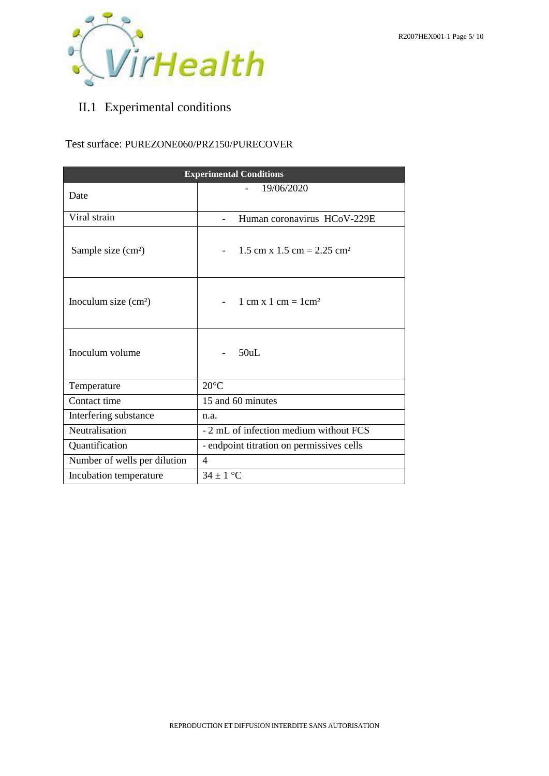

# <span id="page-4-0"></span>II.1 Experimental conditions

#### Test surface: PUREZONE060/PRZ150/PURECOVER

|                              | <b>Experimental Conditions</b>                      |  |  |  |  |  |  |  |  |
|------------------------------|-----------------------------------------------------|--|--|--|--|--|--|--|--|
| Date                         | 19/06/2020                                          |  |  |  |  |  |  |  |  |
| Viral strain                 | Human coronavirus HCoV-229E                         |  |  |  |  |  |  |  |  |
| Sample size $(cm2)$          | $1.5$ cm x $1.5$ cm = $2.25$ cm <sup>2</sup>        |  |  |  |  |  |  |  |  |
| Inoculum size $(cm2)$        | $1 \text{ cm} \times 1 \text{ cm} = 1 \text{ cm}^2$ |  |  |  |  |  |  |  |  |
| Inoculum volume              | 50uL                                                |  |  |  |  |  |  |  |  |
| Temperature                  | $20^{\circ}$ C                                      |  |  |  |  |  |  |  |  |
| Contact time                 | 15 and 60 minutes                                   |  |  |  |  |  |  |  |  |
| Interfering substance        | n.a.                                                |  |  |  |  |  |  |  |  |
| Neutralisation               | - 2 mL of infection medium without FCS              |  |  |  |  |  |  |  |  |
| Quantification               | - endpoint titration on permissives cells           |  |  |  |  |  |  |  |  |
| Number of wells per dilution | $\overline{4}$                                      |  |  |  |  |  |  |  |  |
| Incubation temperature       | $34 \pm 1$ °C                                       |  |  |  |  |  |  |  |  |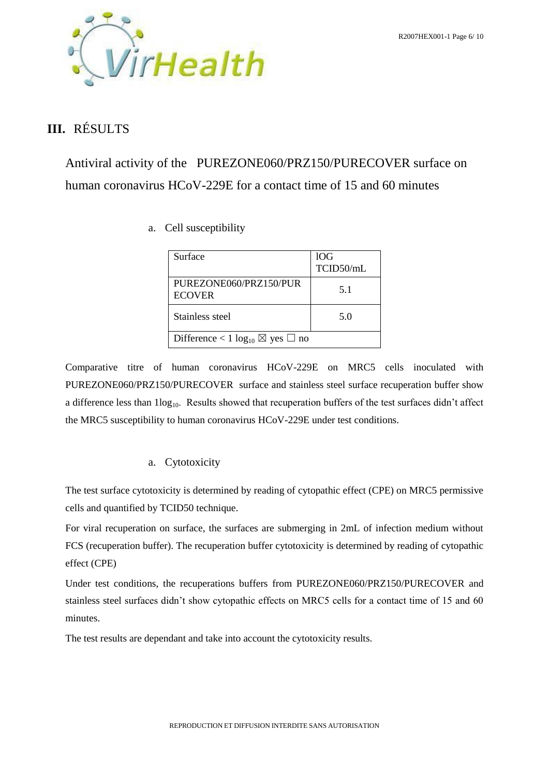

## <span id="page-5-0"></span>**III.** RÉSULTS

<span id="page-5-2"></span><span id="page-5-1"></span>Antiviral activity of the PUREZONE060/PRZ150/PURECOVER surface on human coronavirus HCoV-229E for a contact time of 15 and 60 minutes

a. Cell susceptibility

| Surface                                            | 10G<br>TCID50/mL |
|----------------------------------------------------|------------------|
| PUREZONE060/PRZ150/PUR<br><b>ECOVER</b>            | 5.1              |
| Stainless steel                                    | 5.0              |
| Difference < 1 $\log_{10} \boxtimes$ yes $\Box$ no |                  |

Comparative titre of human coronavirus HCoV-229E on MRC5 cells inoculated with PUREZONE060/PRZ150/PURECOVER surface and stainless steel surface recuperation buffer show a difference less than  $1\log_{10}$ . Results showed that recuperation buffers of the test surfaces didn't affect the MRC5 susceptibility to human coronavirus HCoV-229E under test conditions.

### a. Cytotoxicity

<span id="page-5-3"></span>The test surface cytotoxicity is determined by reading of cytopathic effect (CPE) on MRC5 permissive cells and quantified by TCID50 technique.

For viral recuperation on surface, the surfaces are submerging in 2mL of infection medium without FCS (recuperation buffer). The recuperation buffer cytotoxicity is determined by reading of cytopathic effect (CPE)

Under test conditions, the recuperations buffers from PUREZONE060/PRZ150/PURECOVER and stainless steel surfaces didn't show cytopathic effects on MRC5 cells for a contact time of 15 and 60 minutes.

The test results are dependant and take into account the cytotoxicity results.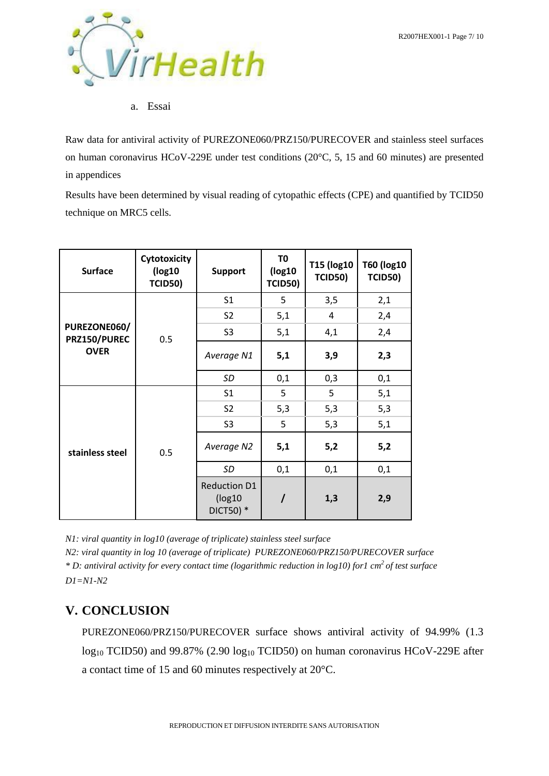

a. Essai

<span id="page-6-0"></span>Raw data for antiviral activity of PUREZONE060/PRZ150/PURECOVER and stainless steel surfaces on human coronavirus HCoV-229E under test conditions (20°C, 5, 15 and 60 minutes) are presented in appendices

Results have been determined by visual reading of cytopathic effects (CPE) and quantified by TCID50 technique on MRC5 cells.

| <b>Surface</b>               | <b>Cytotoxicity</b><br>(log10)<br><b>TCID50)</b> | <b>Support</b>                              | T0<br>(log10)<br><b>TCID50)</b> | <b>T15 (log10)</b><br><b>TCID50)</b> | <b>T60 (log10</b><br><b>TCID50)</b> |
|------------------------------|--------------------------------------------------|---------------------------------------------|---------------------------------|--------------------------------------|-------------------------------------|
|                              |                                                  | S <sub>1</sub>                              | 5                               | 3,5                                  | 2,1                                 |
|                              |                                                  | S <sub>2</sub>                              | 5,1                             | 4                                    | 2,4                                 |
| PUREZONE060/<br>PRZ150/PUREC | 0.5                                              | S <sub>3</sub>                              | 5,1                             | 4,1                                  | 2,4                                 |
| <b>OVER</b>                  |                                                  | Average N1                                  | 5,1                             | 3,9                                  | 2,3                                 |
|                              |                                                  | SD                                          | 0,1                             | 0,3                                  | 0,1                                 |
|                              | 0.5                                              | S <sub>1</sub>                              | 5                               | 5                                    | 5,1                                 |
|                              |                                                  | S <sub>2</sub>                              | 5,3                             | 5,3                                  | 5,3                                 |
|                              |                                                  | S <sub>3</sub>                              | 5                               | 5,3                                  | 5,1                                 |
| stainless steel              |                                                  | Average N2                                  | 5,1                             | 5,2                                  | 5,2                                 |
|                              |                                                  | SD                                          | 0,1                             | 0,1                                  | 0,1                                 |
|                              |                                                  | <b>Reduction D1</b><br>(log10)<br>DICT50) * |                                 | 1,3                                  | 2,9                                 |

*N1: viral quantity in log10 (average of triplicate) stainless steel surface*

*N2: viral quantity in log 10 (average of triplicate) PUREZONE060/PRZ150/PURECOVER surface \* D: antiviral activity for every contact time (logarithmic reduction in log10) for1 cm<sup>2</sup>of test surface D1=N1-N2*

## **V. CONCLUSION**

PUREZONE060/PRZ150/PURECOVER surface shows antiviral activity of 94.99% (1.3  $log_{10}$  TCID50) and 99.87% (2.90  $log_{10}$  TCID50) on human coronavirus HCoV-229E after a contact time of 15 and 60 minutes respectively at 20°C.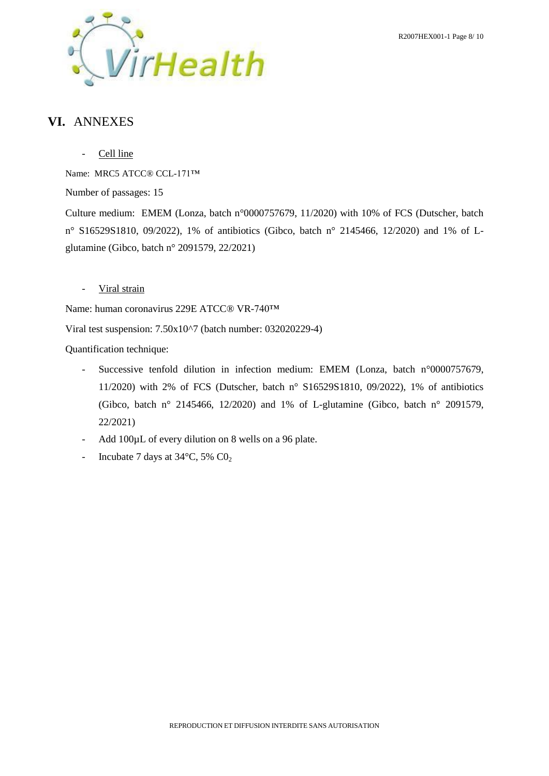

## <span id="page-7-0"></span>**VI.** ANNEXES

- Cell line

Name: MRC5 ATCC® CCL-171™

Number of passages: 15

<span id="page-7-1"></span>Culture medium: EMEM (Lonza, batch n°0000757679, 11/2020) with 10% of FCS (Dutscher, batch n° S16529S1810, 09/2022), 1% of antibiotics (Gibco, batch n° 2145466, 12/2020) and 1% of Lglutamine (Gibco, batch n° 2091579, 22/2021)

- Viral strain

Name: human coronavirus 229E ATCC® VR-740™

Viral test suspension: 7.50x10^7 (batch number: 032020229-4)

Quantification technique:

- Successive tenfold dilution in infection medium: EMEM (Lonza, batch n°0000757679, 11/2020) with 2% of FCS (Dutscher, batch n° S16529S1810, 09/2022), 1% of antibiotics (Gibco, batch n° 2145466, 12/2020) and 1% of L-glutamine (Gibco, batch n° 2091579, 22/2021)
- Add 100µL of every dilution on 8 wells on a 96 plate.
- Incubate 7 days at  $34^{\circ}$ C, 5% CO<sub>2</sub>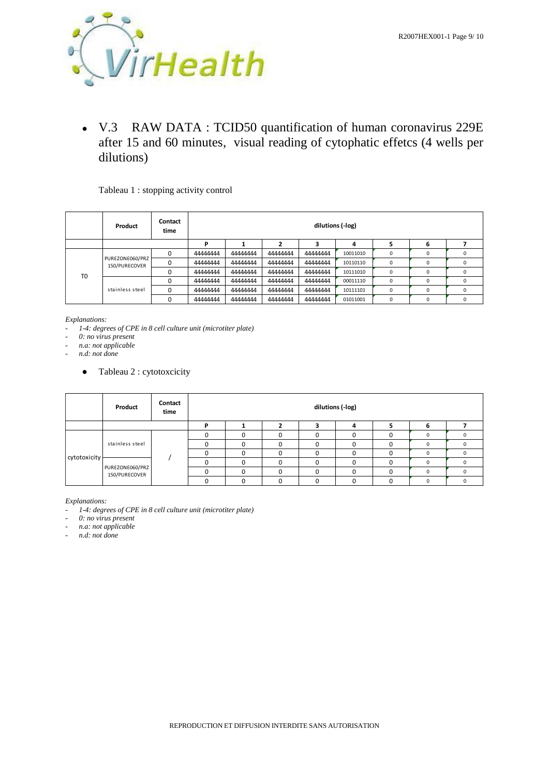

● V.3 RAW DATA : TCID50 quantification of human coronavirus 229E after 15 and 60 minutes, visual reading of cytophatic effetcs (4 wells per dilutions)

#### Tableau 1 : stopping activity control

|                | Product                          | Contact<br>time |          | dilutions (-log) |          |          |          |             |   |   |  |
|----------------|----------------------------------|-----------------|----------|------------------|----------|----------|----------|-------------|---|---|--|
|                |                                  |                 | D        |                  |          |          | 4        |             |   |   |  |
|                | PUREZONE060/PRZ<br>150/PURECOVER | $\Omega$        | 44444444 | 44444444         | 44444444 | 44444444 | 10011010 | 0           |   | 0 |  |
|                |                                  | 0               | 44444444 | 44444444         | 44444444 | 44444444 | 10110110 | 0           |   | 0 |  |
| T <sub>0</sub> |                                  | $\Omega$        | 44444444 | 44444444         | 44444444 | 44444444 | 10111010 | $\mathbf 0$ |   | 0 |  |
|                | stainless steel                  | $\Omega$        | 44444444 | 44444444         | 44444444 | 44444444 | 00011110 | $\mathbf 0$ | 0 | 0 |  |
|                |                                  | $\Omega$        | 44444444 | 44444444         | 44444444 | 44444444 | 10111101 | 0           |   | 0 |  |
|                |                                  | $\Omega$        | 44444444 | 44444444         | 44444444 | 44444444 | 01011001 | 0           | ŋ | 0 |  |

*Explanations:*

*- 1-4: degrees of CPE in 8 cell culture unit (microtiter plate)*

*- 0: no virus present*

*- n.a: not applicable*

*- n.d: not done*

• Tableau 2 : cytotoxcicity

|              | Product                          | Contact<br>time |   | dilutions (-log) |   |  |              |   |  |  |  |
|--------------|----------------------------------|-----------------|---|------------------|---|--|--------------|---|--|--|--|
|              |                                  |                 | D |                  |   |  |              |   |  |  |  |
|              | stainless steel                  |                 |   |                  |   |  |              |   |  |  |  |
|              |                                  |                 |   |                  |   |  | 0            |   |  |  |  |
| cytotoxicity |                                  |                 |   |                  |   |  | <sup>0</sup> |   |  |  |  |
|              | PUREZONE060/PRZ<br>150/PURECOVER |                 |   |                  |   |  |              | 0 |  |  |  |
|              |                                  |                 |   |                  | n |  | 0            |   |  |  |  |
|              |                                  |                 |   |                  |   |  | 0            |   |  |  |  |

*Explanations:*

*- 1-4: degrees of CPE in 8 cell culture unit (microtiter plate)*

*- 0: no virus present*

*- n.a: not applicable*

*- n.d: not done*